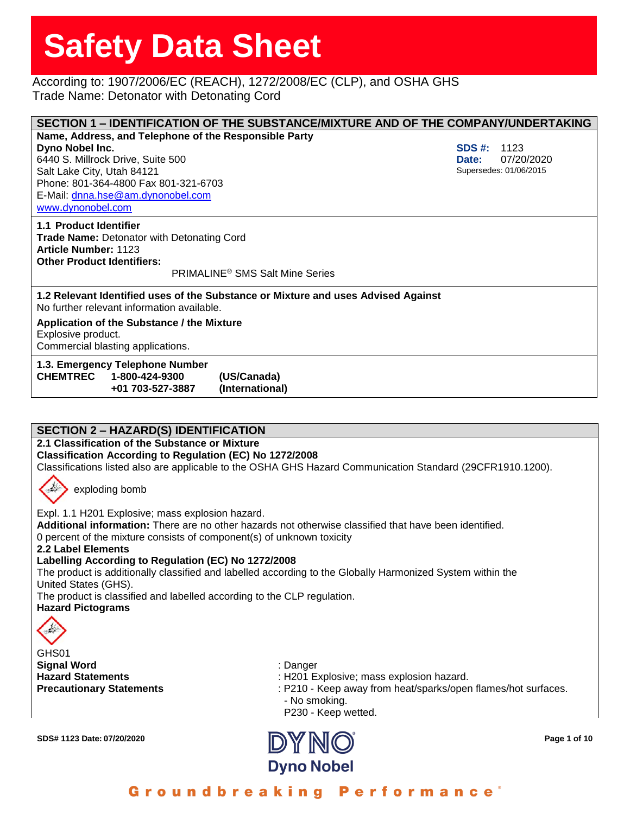### According to: 1907/2006/EC (REACH), 1272/2008/EC (CLP), and OSHA GHS Trade Name: Detonator with Detonating Cord

| SECTION 1 - IDENTIFICATION OF THE SUBSTANCE/MIXTURE AND OF THE COMPANY/UNDERTAKING                                                                                                                   |        |                        |  |  |
|------------------------------------------------------------------------------------------------------------------------------------------------------------------------------------------------------|--------|------------------------|--|--|
| Name, Address, and Telephone of the Responsible Party                                                                                                                                                |        |                        |  |  |
| Dyno Nobel Inc.                                                                                                                                                                                      | SDS #: | 1123                   |  |  |
| 6440 S. Millrock Drive, Suite 500                                                                                                                                                                    | Date:  | 07/20/2020             |  |  |
| Salt Lake City, Utah 84121                                                                                                                                                                           |        | Supersedes: 01/06/2015 |  |  |
| Phone: 801-364-4800 Fax 801-321-6703                                                                                                                                                                 |        |                        |  |  |
| E-Mail: dnna.hse@am.dynonobel.com                                                                                                                                                                    |        |                        |  |  |
| www.dynonobel.com                                                                                                                                                                                    |        |                        |  |  |
| 1.1 Product Identifier<br><b>Trade Name: Detonator with Detonating Cord</b><br><b>Article Number: 1123</b><br><b>Other Product Identifiers:</b><br><b>PRIMALINE<sup>®</sup> SMS Salt Mine Series</b> |        |                        |  |  |
| 1.2 Relevant Identified uses of the Substance or Mixture and uses Advised Against<br>No further relevant information available.                                                                      |        |                        |  |  |
| Application of the Substance / the Mixture<br>Explosive product.<br>Commercial blasting applications.                                                                                                |        |                        |  |  |
| 1.3. Emergency Telephone Number<br>CHEMTREC 1-800-424-9300<br>(US/Canada)<br>+01 703-527-3887<br>(International)                                                                                     |        |                        |  |  |

#### **SECTION 2 – HAZARD(S) IDENTIFICATION**

**2.1 Classification of the Substance or Mixture**

**Classification According to Regulation (EC) No 1272/2008**

Classifications listed also are applicable to the OSHA GHS Hazard Communication Standard (29CFR1910.1200).



exploding bomb

Expl. 1.1 H201 Explosive; mass explosion hazard.

**Additional information:** There are no other hazards not otherwise classified that have been identified. 0 percent of the mixture consists of component(s) of unknown toxicity

**2.2 Label Elements**

**Labelling According to Regulation (EC) No 1272/2008**

The product is additionally classified and labelled according to the Globally Harmonized System within the United States (GHS).

The product is classified and labelled according to the CLP regulation.

**Hazard Pictograms**



GHS01 **Signal Word** : Danger

- Hazard Statements **in the statements** : H201 Explosive; mass explosion hazard.
- **Precautionary Statements** : P210 Keep away from heat/sparks/open flames/hot surfaces. - No smoking.
	- P230 Keep wetted.

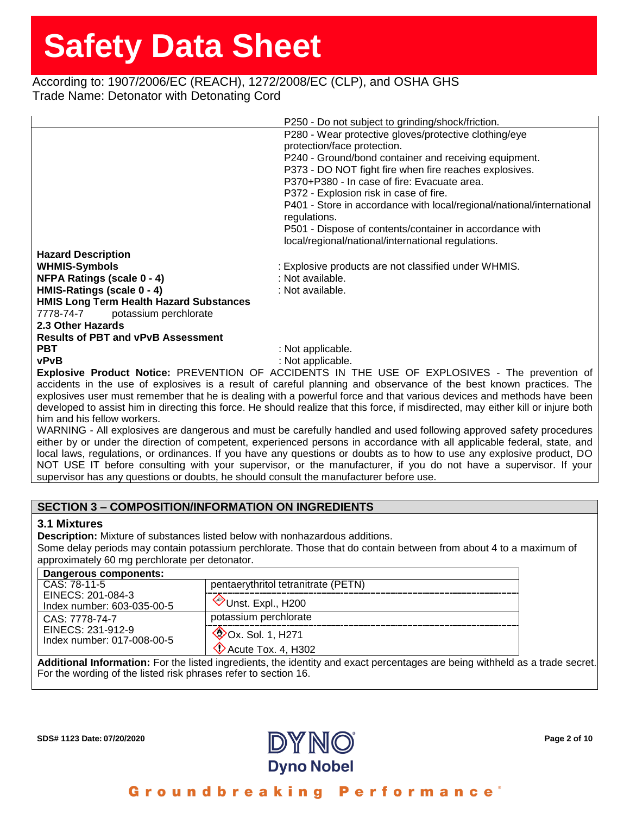# According to: 1907/2006/EC (REACH), 1272/2008/EC (CLP), and OSHA GHS Trade Name: Detonator with Detonating Cord

|                                                                                                                                    | P250 - Do not subject to grinding/shock/friction.                                                                  |  |
|------------------------------------------------------------------------------------------------------------------------------------|--------------------------------------------------------------------------------------------------------------------|--|
|                                                                                                                                    | P280 - Wear protective gloves/protective clothing/eye                                                              |  |
|                                                                                                                                    | protection/face protection.                                                                                        |  |
|                                                                                                                                    | P240 - Ground/bond container and receiving equipment.                                                              |  |
|                                                                                                                                    | P373 - DO NOT fight fire when fire reaches explosives.                                                             |  |
|                                                                                                                                    | P370+P380 - In case of fire: Evacuate area.                                                                        |  |
|                                                                                                                                    | P372 - Explosion risk in case of fire.                                                                             |  |
|                                                                                                                                    | P401 - Store in accordance with local/regional/national/international                                              |  |
|                                                                                                                                    | regulations.                                                                                                       |  |
|                                                                                                                                    | P501 - Dispose of contents/container in accordance with                                                            |  |
|                                                                                                                                    | local/regional/national/international regulations.                                                                 |  |
| <b>Hazard Description</b>                                                                                                          |                                                                                                                    |  |
| <b>WHMIS-Symbols</b>                                                                                                               | : Explosive products are not classified under WHMIS.                                                               |  |
| <b>NFPA Ratings (scale 0 - 4)</b>                                                                                                  | : Not available.                                                                                                   |  |
| HMIS-Ratings (scale 0 - 4)                                                                                                         | : Not available.                                                                                                   |  |
| <b>HMIS Long Term Health Hazard Substances</b>                                                                                     |                                                                                                                    |  |
| 7778-74-7<br>potassium perchlorate                                                                                                 |                                                                                                                    |  |
| 2.3 Other Hazards                                                                                                                  |                                                                                                                    |  |
| <b>Results of PBT and vPvB Assessment</b>                                                                                          |                                                                                                                    |  |
| <b>PBT</b>                                                                                                                         | : Not applicable.                                                                                                  |  |
| <b>vPvB</b>                                                                                                                        | : Not applicable.                                                                                                  |  |
| Explosive Product Notice: PREVENTION OF ACCIDENTS IN THE USE OF EXPLOSIVES - The prevention of                                     |                                                                                                                    |  |
| accidents in the use of explosives is a result of careful planning and observance of the best known practices. The                 |                                                                                                                    |  |
| explosives user must remember that he is dealing with a powerful force and that various devices and methods have been              |                                                                                                                    |  |
| developed to assist him in directing this force. He should realize that this force, if misdirected, may either kill or injure both |                                                                                                                    |  |
| him and his fellow workers.                                                                                                        |                                                                                                                    |  |
|                                                                                                                                    | MARNING - All evologives are dangerous and must be carefully bandled and used following approved safety procedures |  |

WARNING - All explosives are dangerous and must be carefully handled and used following approved safety procedures either by or under the direction of competent, experienced persons in accordance with all applicable federal, state, and local laws, regulations, or ordinances. If you have any questions or doubts as to how to use any explosive product, DO NOT USE IT before consulting with your supervisor, or the manufacturer, if you do not have a supervisor. If your supervisor has any questions or doubts, he should consult the manufacturer before use.

#### **SECTION 3 – COMPOSITION/INFORMATION ON INGREDIENTS**

#### **3.1 Mixtures**

**Description:** Mixture of substances listed below with nonhazardous additions.

Some delay periods may contain potassium perchlorate. Those that do contain between from about 4 to a maximum of approximately 60 mg perchlorate per detonator.

| Dangerous components:                                             |                                                                 |
|-------------------------------------------------------------------|-----------------------------------------------------------------|
| CAS: 78-11-5                                                      | pentaerythritol tetranitrate (PETN)                             |
| EINECS: 201-084-3<br>Index number: 603-035-00-5                   | Unst. Expl., H200                                               |
| CAS: 7778-74-7<br>EINECS: 231-912-9<br>Index number: 017-008-00-5 | potassium perchlorate                                           |
|                                                                   | $\mathcal{O}$ Ox. Sol. 1, H271<br>$\Diamond$ Acute Tox. 4, H302 |
|                                                                   |                                                                 |

**Additional Information:** For the listed ingredients, the identity and exact percentages are being withheld as a trade secret. For the wording of the listed risk phrases refer to section 16.

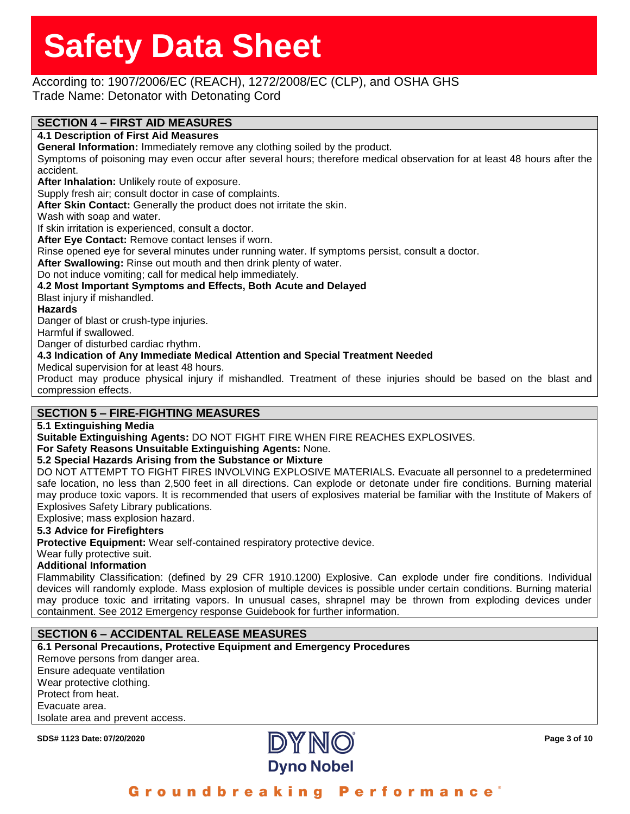# According to: 1907/2006/EC (REACH), 1272/2008/EC (CLP), and OSHA GHS

Trade Name: Detonator with Detonating Cord

# **SECTION 4 – FIRST AID MEASURES**

#### **4.1 Description of First Aid Measures**

**General Information:** Immediately remove any clothing soiled by the product.

Symptoms of poisoning may even occur after several hours; therefore medical observation for at least 48 hours after the accident.

**After Inhalation:** Unlikely route of exposure.

Supply fresh air; consult doctor in case of complaints.

**After Skin Contact:** Generally the product does not irritate the skin.

Wash with soap and water.

If skin irritation is experienced, consult a doctor.

**After Eye Contact:** Remove contact lenses if worn.

Rinse opened eye for several minutes under running water. If symptoms persist, consult a doctor.

**After Swallowing:** Rinse out mouth and then drink plenty of water.

Do not induce vomiting; call for medical help immediately.

**4.2 Most Important Symptoms and Effects, Both Acute and Delayed**

Blast injury if mishandled.

#### **Hazards**

Danger of blast or crush-type injuries.

Harmful if swallowed.

Danger of disturbed cardiac rhythm.

#### **4.3 Indication of Any Immediate Medical Attention and Special Treatment Needed**

Medical supervision for at least 48 hours.

Product may produce physical injury if mishandled. Treatment of these injuries should be based on the blast and compression effects.

### **SECTION 5 – FIRE-FIGHTING MEASURES**

#### **5.1 Extinguishing Media**

**Suitable Extinguishing Agents:** DO NOT FIGHT FIRE WHEN FIRE REACHES EXPLOSIVES.

**For Safety Reasons Unsuitable Extinguishing Agents:** None.

#### **5.2 Special Hazards Arising from the Substance or Mixture**

DO NOT ATTEMPT TO FIGHT FIRES INVOLVING EXPLOSIVE MATERIALS. Evacuate all personnel to a predetermined safe location, no less than 2,500 feet in all directions. Can explode or detonate under fire conditions. Burning material may produce toxic vapors. It is recommended that users of explosives material be familiar with the Institute of Makers of Explosives Safety Library publications.

Explosive; mass explosion hazard.

#### **5.3 Advice for Firefighters**

**Protective Equipment:** Wear self-contained respiratory protective device.

Wear fully protective suit.

#### **Additional Information**

Flammability Classification: (defined by 29 CFR 1910.1200) Explosive. Can explode under fire conditions. Individual devices will randomly explode. Mass explosion of multiple devices is possible under certain conditions. Burning material may produce toxic and irritating vapors. In unusual cases, shrapnel may be thrown from exploding devices under containment. See 2012 Emergency response Guidebook for further information.

### **SECTION 6 – ACCIDENTAL RELEASE MEASURES**

**6.1 Personal Precautions, Protective Equipment and Emergency Procedures** Remove persons from danger area. Ensure adequate ventilation Wear protective clothing. Protect from heat. Evacuate area. Isolate area and prevent access.

**SDS# 1123 Date: 07/20/2020 Page 3 of 10**

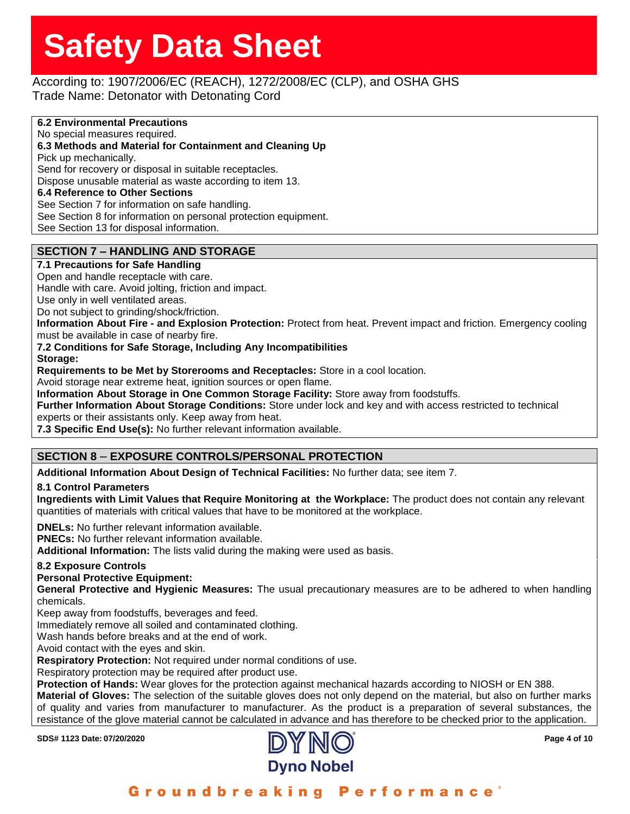# According to: 1907/2006/EC (REACH), 1272/2008/EC (CLP), and OSHA GHS

Trade Name: Detonator with Detonating Cord

#### **6.2 Environmental Precautions** No special measures required. **6.3 Methods and Material for Containment and Cleaning Up** Pick up mechanically. Send for recovery or disposal in suitable receptacles. Dispose unusable material as waste according to item 13. **6.4 Reference to Other Sections** See Section 7 for information on safe handling. See Section 8 for information on personal protection equipment. See Section 13 for disposal information.

# **SECTION 7 – HANDLING AND STORAGE**

### **7.1 Precautions for Safe Handling**

Open and handle receptacle with care.

Handle with care. Avoid jolting, friction and impact.

Use only in well ventilated areas.

Do not subject to grinding/shock/friction.

**Information About Fire - and Explosion Protection:** Protect from heat. Prevent impact and friction. Emergency cooling must be available in case of nearby fire.

**7.2 Conditions for Safe Storage, Including Any Incompatibilities**

**Storage:**

**Requirements to be Met by Storerooms and Receptacles:** Store in a cool location.

Avoid storage near extreme heat, ignition sources or open flame.

**Information About Storage in One Common Storage Facility:** Store away from foodstuffs.

**Further Information About Storage Conditions:** Store under lock and key and with access restricted to technical experts or their assistants only. Keep away from heat.

**7.3 Specific End Use(s):** No further relevant information available.

# **SECTION 8** – **EXPOSURE CONTROLS/PERSONAL PROTECTION**

**Additional Information About Design of Technical Facilities:** No further data; see item 7.

#### **8.1 Control Parameters**

**Ingredients with Limit Values that Require Monitoring at the Workplace:** The product does not contain any relevant quantities of materials with critical values that have to be monitored at the workplace.

**DNELs:** No further relevant information available.

**PNECs:** No further relevant information available.

**Additional Information:** The lists valid during the making were used as basis.

### **8.2 Exposure Controls**

**Personal Protective Equipment:**

**General Protective and Hygienic Measures:** The usual precautionary measures are to be adhered to when handling chemicals.

Keep away from foodstuffs, beverages and feed.

Immediately remove all soiled and contaminated clothing.

Wash hands before breaks and at the end of work.

Avoid contact with the eyes and skin.

**Respiratory Protection:** Not required under normal conditions of use.

Respiratory protection may be required after product use.

**Protection of Hands:** Wear gloves for the protection against mechanical hazards according to NIOSH or EN 388.

**Material of Gloves:** The selection of the suitable gloves does not only depend on the material, but also on further marks of quality and varies from manufacturer to manufacturer. As the product is a preparation of several substances, the resistance of the glove material cannot be calculated in advance and has therefore to be checked prior to the application.

**SDS# 1123 Date: 07/20/2020 Page 4 of 10**



Groundbreaking Performance'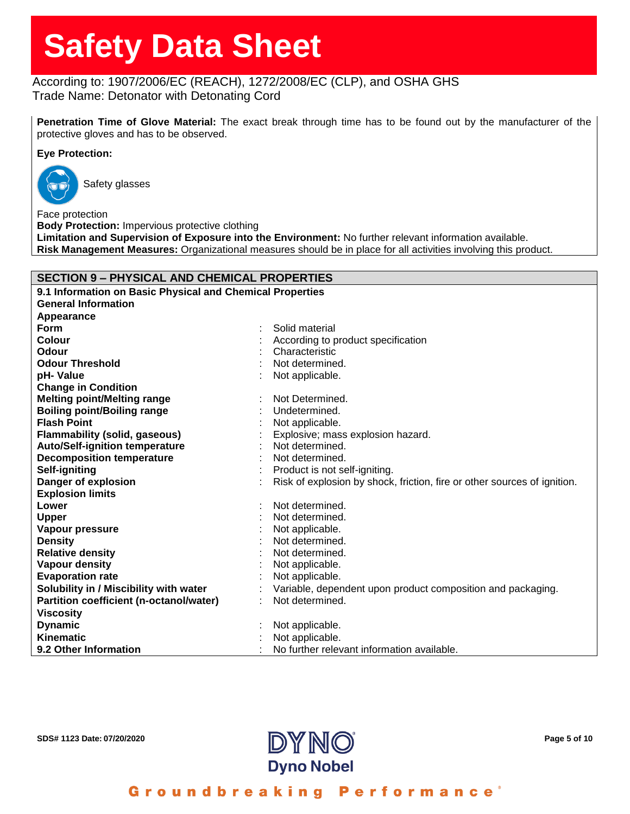# According to: 1907/2006/EC (REACH), 1272/2008/EC (CLP), and OSHA GHS Trade Name: Detonator with Detonating Cord

**Penetration Time of Glove Material:** The exact break through time has to be found out by the manufacturer of the protective gloves and has to be observed.

#### **Eye Protection:**



Safety glasses

Face protection **Body Protection:** Impervious protective clothing **Limitation and Supervision of Exposure into the Environment:** No further relevant information available. **Risk Management Measures:** Organizational measures should be in place for all activities involving this product.

#### **SECTION 9 – PHYSICAL AND CHEMICAL PROPERTIES**

| 9.1 Information on Basic Physical and Chemical Properties |  |                                                                          |
|-----------------------------------------------------------|--|--------------------------------------------------------------------------|
| <b>General Information</b>                                |  |                                                                          |
| Appearance                                                |  |                                                                          |
| <b>Form</b>                                               |  | Solid material                                                           |
| <b>Colour</b>                                             |  | According to product specification                                       |
| Odour                                                     |  | Characteristic                                                           |
| <b>Odour Threshold</b>                                    |  | Not determined.                                                          |
| pH-Value                                                  |  | Not applicable.                                                          |
| <b>Change in Condition</b>                                |  |                                                                          |
| <b>Melting point/Melting range</b>                        |  | Not Determined.                                                          |
| <b>Boiling point/Boiling range</b>                        |  | Undetermined.                                                            |
| <b>Flash Point</b>                                        |  | Not applicable.                                                          |
| <b>Flammability (solid, gaseous)</b>                      |  | Explosive; mass explosion hazard.                                        |
| <b>Auto/Self-ignition temperature</b>                     |  | Not determined.                                                          |
| <b>Decomposition temperature</b>                          |  | Not determined.                                                          |
| Self-igniting                                             |  | Product is not self-igniting.                                            |
| Danger of explosion                                       |  | Risk of explosion by shock, friction, fire or other sources of ignition. |
| <b>Explosion limits</b>                                   |  |                                                                          |
| Lower                                                     |  | Not determined.                                                          |
| Upper                                                     |  | Not determined.                                                          |
| Vapour pressure                                           |  | Not applicable.                                                          |
| <b>Density</b>                                            |  | Not determined.                                                          |
| <b>Relative density</b>                                   |  | Not determined.                                                          |
| <b>Vapour density</b>                                     |  | Not applicable.                                                          |
| <b>Evaporation rate</b>                                   |  | Not applicable.                                                          |
| Solubility in / Miscibility with water                    |  | Variable, dependent upon product composition and packaging.              |
| Partition coefficient (n-octanol/water)                   |  | Not determined.                                                          |
| <b>Viscosity</b>                                          |  |                                                                          |
| <b>Dynamic</b>                                            |  | Not applicable.                                                          |
| Kinematic                                                 |  | Not applicable.                                                          |
| 9.2 Other Information                                     |  | No further relevant information available.                               |

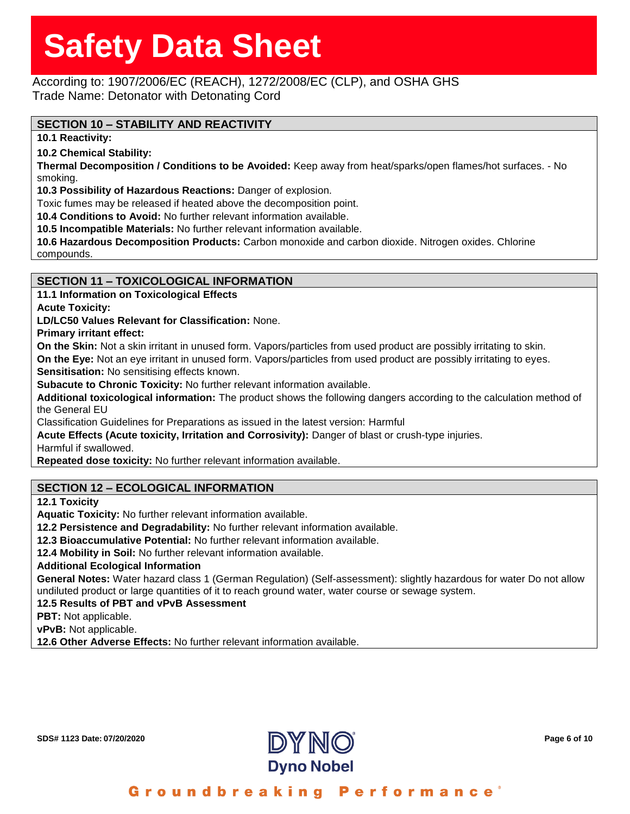According to: 1907/2006/EC (REACH), 1272/2008/EC (CLP), and OSHA GHS Trade Name: Detonator with Detonating Cord

# **SECTION 10 – STABILITY AND REACTIVITY**

**10.1 Reactivity:**

**10.2 Chemical Stability:**

**Thermal Decomposition / Conditions to be Avoided:** Keep away from heat/sparks/open flames/hot surfaces. - No smoking.

**10.3 Possibility of Hazardous Reactions:** Danger of explosion.

Toxic fumes may be released if heated above the decomposition point.

**10.4 Conditions to Avoid:** No further relevant information available.

**10.5 Incompatible Materials:** No further relevant information available.

**10.6 Hazardous Decomposition Products:** Carbon monoxide and carbon dioxide. Nitrogen oxides. Chlorine compounds.

### **SECTION 11 – TOXICOLOGICAL INFORMATION**

**11.1 Information on Toxicological Effects**

**Acute Toxicity:**

**LD/LC50 Values Relevant for Classification:** None.

**Primary irritant effect:**

**On the Skin:** Not a skin irritant in unused form. Vapors/particles from used product are possibly irritating to skin.

**On the Eye:** Not an eye irritant in unused form. Vapors/particles from used product are possibly irritating to eyes. **Sensitisation:** No sensitising effects known.

**Subacute to Chronic Toxicity:** No further relevant information available.

**Additional toxicological information:** The product shows the following dangers according to the calculation method of the General EU

Classification Guidelines for Preparations as issued in the latest version: Harmful

**Acute Effects (Acute toxicity, Irritation and Corrosivity):** Danger of blast or crush-type injuries.

Harmful if swallowed.

**Repeated dose toxicity:** No further relevant information available.

# **SECTION 12 – ECOLOGICAL INFORMATION**

**12.1 Toxicity**

**Aquatic Toxicity:** No further relevant information available.

**12.2 Persistence and Degradability:** No further relevant information available.

**12.3 Bioaccumulative Potential:** No further relevant information available.

**12.4 Mobility in Soil:** No further relevant information available.

#### **Additional Ecological Information**

**General Notes:** Water hazard class 1 (German Regulation) (Self-assessment): slightly hazardous for water Do not allow undiluted product or large quantities of it to reach ground water, water course or sewage system.

**12.5 Results of PBT and vPvB Assessment**

**PBT:** Not applicable.

**vPvB:** Not applicable.

**12.6 Other Adverse Effects:** No further relevant information available.

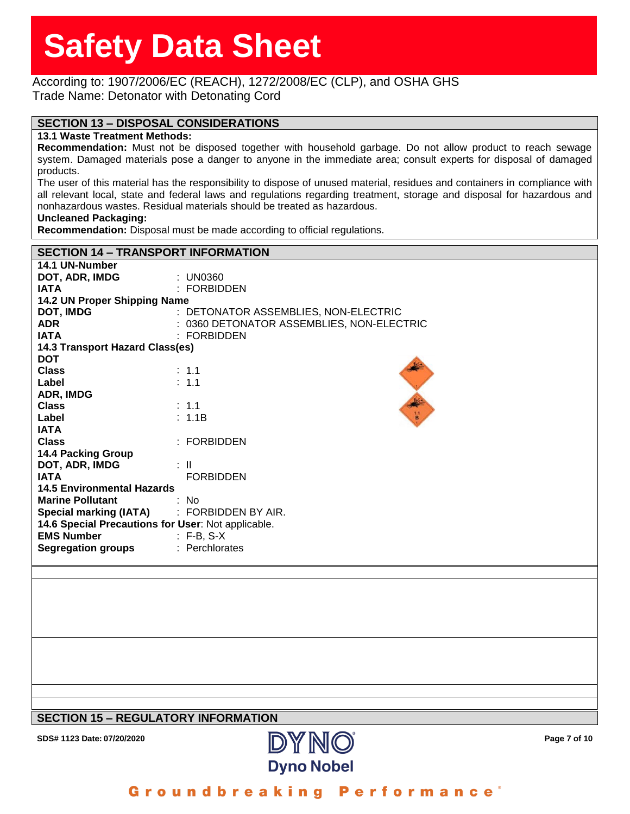#### According to: 1907/2006/EC (REACH), 1272/2008/EC (CLP), and OSHA GHS Trade Name: Detonator with Detonating Cord

### **SECTION 13 – DISPOSAL CONSIDERATIONS**

#### **13.1 Waste Treatment Methods:**

**Recommendation:** Must not be disposed together with household garbage. Do not allow product to reach sewage system. Damaged materials pose a danger to anyone in the immediate area; consult experts for disposal of damaged products.

The user of this material has the responsibility to dispose of unused material, residues and containers in compliance with all relevant local, state and federal laws and regulations regarding treatment, storage and disposal for hazardous and nonhazardous wastes. Residual materials should be treated as hazardous.

#### **Uncleaned Packaging:**

**Recommendation:** Disposal must be made according to official regulations.

| <b>SECTION 14 - TRANSPORT INFORMATION</b>          |                                           |  |  |  |  |  |
|----------------------------------------------------|-------------------------------------------|--|--|--|--|--|
| 14.1 UN-Number                                     |                                           |  |  |  |  |  |
| DOT, ADR, IMDG                                     | : UN0360                                  |  |  |  |  |  |
| <b>IATA</b>                                        | : FORBIDDEN                               |  |  |  |  |  |
| 14.2 UN Proper Shipping Name                       |                                           |  |  |  |  |  |
| <b>DOT, IMDG</b>                                   | : DETONATOR ASSEMBLIES, NON-ELECTRIC      |  |  |  |  |  |
| <b>ADR</b>                                         | : 0360 DETONATOR ASSEMBLIES, NON-ELECTRIC |  |  |  |  |  |
| <b>IATA</b>                                        | : FORBIDDEN                               |  |  |  |  |  |
| 14.3 Transport Hazard Class(es)                    |                                           |  |  |  |  |  |
| <b>DOT</b>                                         |                                           |  |  |  |  |  |
| <b>Class</b>                                       | : 1.1                                     |  |  |  |  |  |
| Label                                              | : 1.1                                     |  |  |  |  |  |
| ADR, IMDG                                          |                                           |  |  |  |  |  |
| <b>Class</b>                                       | $\therefore$ 1.1<br>$\mathbf{h}$          |  |  |  |  |  |
| Label                                              | : 1.1B                                    |  |  |  |  |  |
| <b>IATA</b>                                        |                                           |  |  |  |  |  |
| <b>Class</b>                                       | $:$ FORBIDDEN                             |  |  |  |  |  |
| <b>14.4 Packing Group</b>                          |                                           |  |  |  |  |  |
| DOT, ADR, IMDG                                     | : II                                      |  |  |  |  |  |
| <b>IATA</b>                                        | <b>FORBIDDEN</b>                          |  |  |  |  |  |
| <b>14.5 Environmental Hazards</b>                  |                                           |  |  |  |  |  |
| <b>Marine Pollutant</b>                            | : No                                      |  |  |  |  |  |
| <b>Special marking (IATA)</b>                      | : FORBIDDEN BY AIR.                       |  |  |  |  |  |
| 14.6 Special Precautions for User: Not applicable. |                                           |  |  |  |  |  |
| <b>EMS Number</b>                                  | $: F-B, S-X$                              |  |  |  |  |  |
| <b>Segregation groups</b>                          | : Perchlorates                            |  |  |  |  |  |
|                                                    |                                           |  |  |  |  |  |
|                                                    |                                           |  |  |  |  |  |

### **SECTION 15 – REGULATORY INFORMATION**

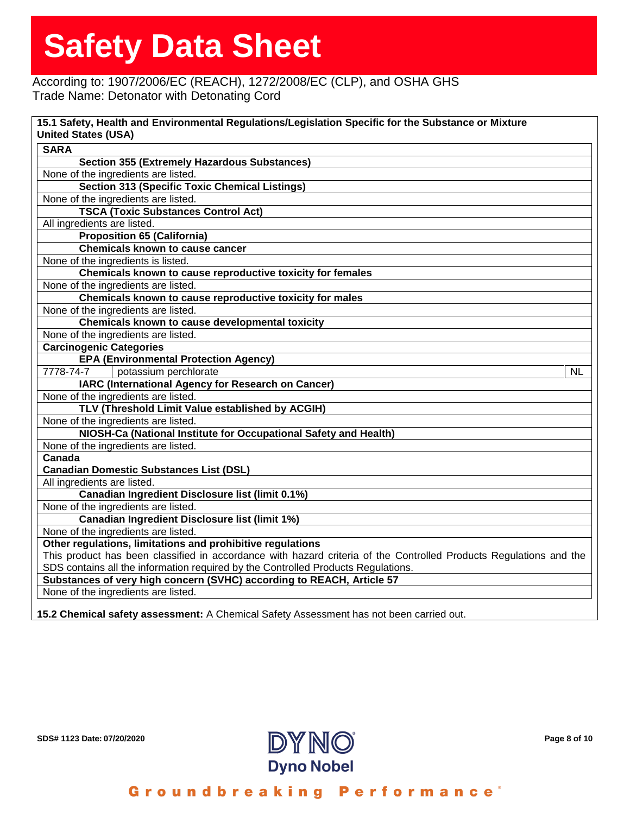# According to: 1907/2006/EC (REACH), 1272/2008/EC (CLP), and OSHA GHS Trade Name: Detonator with Detonating Cord

| <b>SARA</b>                         |                                                                                                                    |
|-------------------------------------|--------------------------------------------------------------------------------------------------------------------|
|                                     | <b>Section 355 (Extremely Hazardous Substances)</b>                                                                |
| None of the ingredients are listed. |                                                                                                                    |
|                                     | <b>Section 313 (Specific Toxic Chemical Listings)</b>                                                              |
| None of the ingredients are listed. |                                                                                                                    |
|                                     | <b>TSCA (Toxic Substances Control Act)</b>                                                                         |
| All ingredients are listed.         |                                                                                                                    |
|                                     | <b>Proposition 65 (California)</b>                                                                                 |
|                                     | <b>Chemicals known to cause cancer</b>                                                                             |
| None of the ingredients is listed.  |                                                                                                                    |
|                                     | Chemicals known to cause reproductive toxicity for females                                                         |
| None of the ingredients are listed. |                                                                                                                    |
|                                     | Chemicals known to cause reproductive toxicity for males                                                           |
| None of the ingredients are listed. |                                                                                                                    |
|                                     | Chemicals known to cause developmental toxicity                                                                    |
| None of the ingredients are listed. |                                                                                                                    |
| <b>Carcinogenic Categories</b>      |                                                                                                                    |
|                                     | <b>EPA (Environmental Protection Agency)</b>                                                                       |
| 7778-74-7                           | potassium perchlorate<br><b>NL</b>                                                                                 |
|                                     | IARC (International Agency for Research on Cancer)                                                                 |
| None of the ingredients are listed. |                                                                                                                    |
|                                     | TLV (Threshold Limit Value established by ACGIH)                                                                   |
| None of the ingredients are listed. |                                                                                                                    |
|                                     | NIOSH-Ca (National Institute for Occupational Safety and Health)                                                   |
| None of the ingredients are listed. |                                                                                                                    |
| Canada                              |                                                                                                                    |
|                                     | <b>Canadian Domestic Substances List (DSL)</b>                                                                     |
| All ingredients are listed.         |                                                                                                                    |
|                                     | Canadian Ingredient Disclosure list (limit 0.1%)                                                                   |
| None of the ingredients are listed. |                                                                                                                    |
|                                     | <b>Canadian Ingredient Disclosure list (limit 1%)</b>                                                              |
| None of the ingredients are listed. |                                                                                                                    |
|                                     | Other regulations, limitations and prohibitive regulations                                                         |
|                                     | This product has been classified in accordance with hazard criteria of the Controlled Products Regulations and the |
|                                     | SDS contains all the information required by the Controlled Products Regulations.                                  |
|                                     | Substances of very high concern (SVHC) according to REACH, Article 57                                              |
| None of the ingredients are listed. |                                                                                                                    |

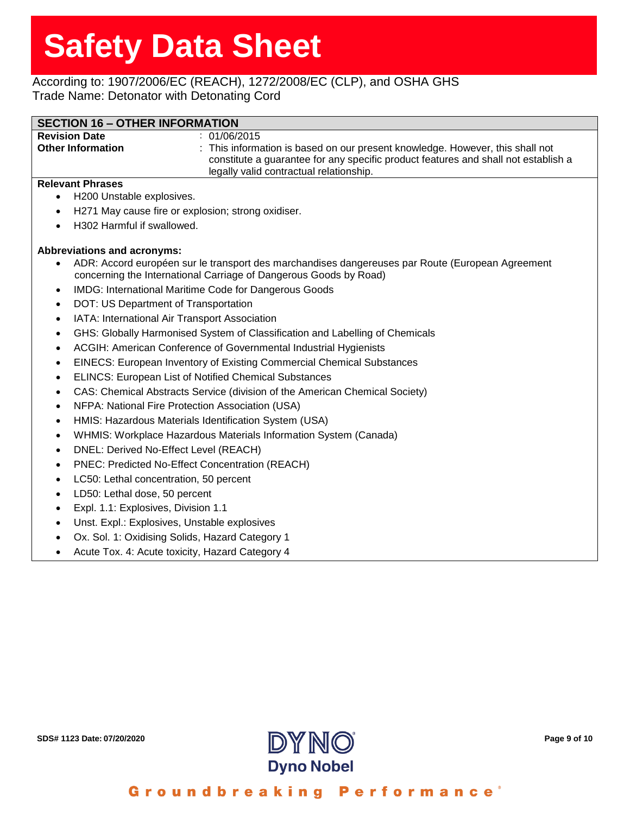# According to: 1907/2006/EC (REACH), 1272/2008/EC (CLP), and OSHA GHS Trade Name: Detonator with Detonating Cord

| <b>SECTION 16 - OTHER INFORMATION</b> |                                                                                                                                                                     |  |  |
|---------------------------------------|---------------------------------------------------------------------------------------------------------------------------------------------------------------------|--|--|
| <b>Revision Date</b>                  | : 01/06/2015                                                                                                                                                        |  |  |
| <b>Other Information</b>              | : This information is based on our present knowledge. However, this shall not<br>constitute a guarantee for any specific product features and shall not establish a |  |  |
|                                       | legally valid contractual relationship.                                                                                                                             |  |  |

#### **Relevant Phrases**

- H200 Unstable explosives.
- H271 May cause fire or explosion; strong oxidiser.
- H302 Harmful if swallowed.

#### **Abbreviations and acronyms:**

- ADR: Accord européen sur le transport des marchandises dangereuses par Route (European Agreement concerning the International Carriage of Dangerous Goods by Road)
- IMDG: International Maritime Code for Dangerous Goods
- DOT: US Department of Transportation
- IATA: International Air Transport Association
- GHS: Globally Harmonised System of Classification and Labelling of Chemicals
- ACGIH: American Conference of Governmental Industrial Hygienists
- EINECS: European Inventory of Existing Commercial Chemical Substances
- ELINCS: European List of Notified Chemical Substances
- CAS: Chemical Abstracts Service (division of the American Chemical Society)
- NFPA: National Fire Protection Association (USA)
- HMIS: Hazardous Materials Identification System (USA)
- WHMIS: Workplace Hazardous Materials Information System (Canada)
- DNEL: Derived No-Effect Level (REACH)
- PNEC: Predicted No-Effect Concentration (REACH)
- LC50: Lethal concentration, 50 percent
- LD50: Lethal dose, 50 percent
- Expl. 1.1: Explosives, Division 1.1
- Unst. Expl.: Explosives, Unstable explosives
- Ox. Sol. 1: Oxidising Solids, Hazard Category 1
- Acute Tox. 4: Acute toxicity, Hazard Category 4